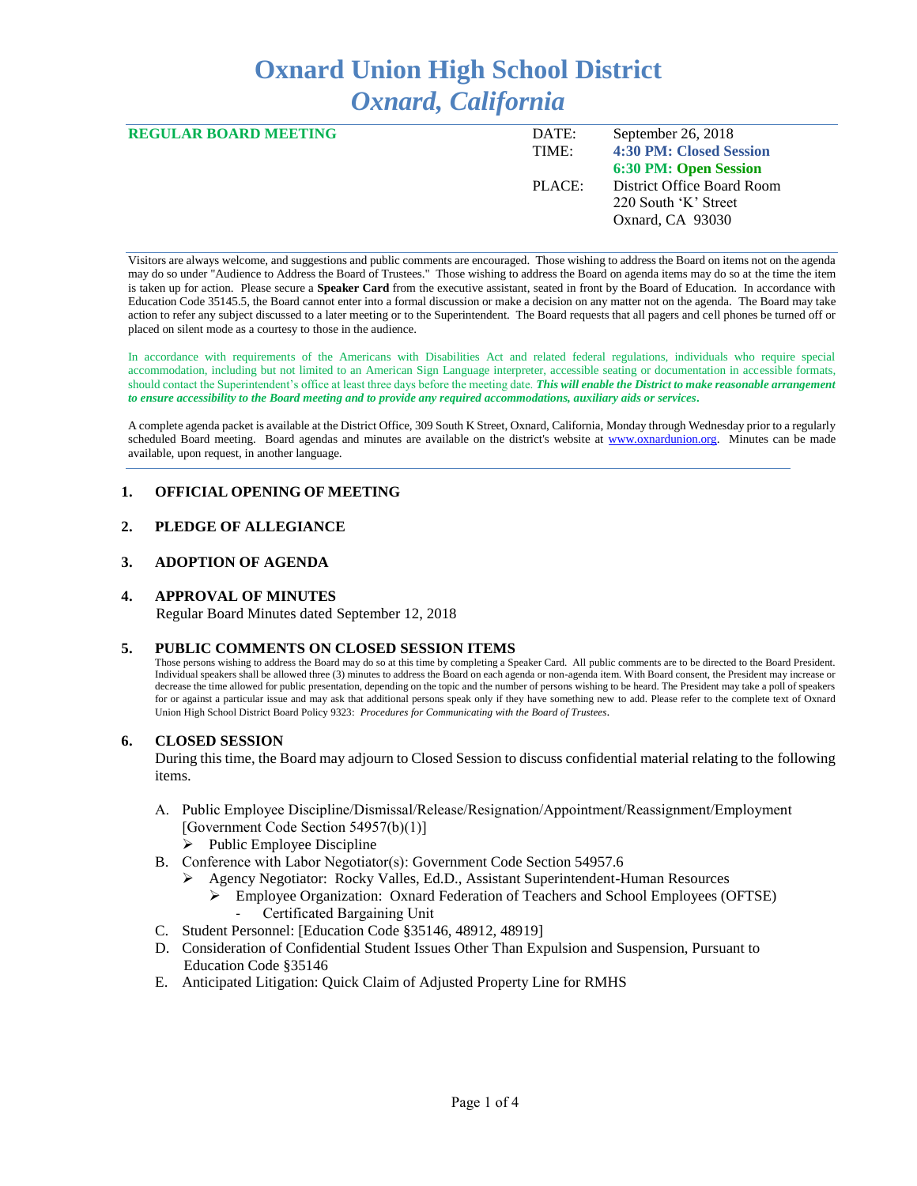# **Oxnard Union High School District** *Oxnard, California*

| <b>REGULAR BOARD MEETING</b> | DATE:  | September 26, 2018         |
|------------------------------|--------|----------------------------|
|                              | TIME:  | 4:30 PM: Closed Session    |
|                              |        | 6:30 PM: Open Session      |
|                              | PLACE: | District Office Board Room |
|                              |        | 220 South 'K' Street       |
|                              |        | Oxnard, CA 93030           |
|                              |        |                            |

Visitors are always welcome, and suggestions and public comments are encouraged. Those wishing to address the Board on items not on the agenda may do so under "Audience to Address the Board of Trustees." Those wishing to address the Board on agenda items may do so at the time the item is taken up for action. Please secure a **Speaker Card** from the executive assistant, seated in front by the Board of Education. In accordance with Education Code 35145.5, the Board cannot enter into a formal discussion or make a decision on any matter not on the agenda. The Board may take action to refer any subject discussed to a later meeting or to the Superintendent. The Board requests that all pagers and cell phones be turned off or placed on silent mode as a courtesy to those in the audience.

In accordance with requirements of the Americans with Disabilities Act and related federal regulations, individuals who require special accommodation, including but not limited to an American Sign Language interpreter, accessible seating or documentation in accessible formats, should contact the Superintendent's office at least three days before the meeting date. *This will enable the District to make reasonable arrangement to ensure accessibility to the Board meeting and to provide any required accommodations, auxiliary aids or services.* 

A complete agenda packet is available at the District Office, 309 South K Street, Oxnard, California, Monday through Wednesday prior to a regularly scheduled Board meeting. Board agendas and minutes are available on the district's website at [www.ox](http://www.o/)nardunion.org.Minutes can be made available, upon request, in another language.

#### **1. OFFICIAL OPENING OF MEETING**

## **2. PLEDGE OF ALLEGIANCE**

#### **3. ADOPTION OF AGENDA**

#### **4. APPROVAL OF MINUTES**

Regular Board Minutes dated September 12, 2018

#### **5. PUBLIC COMMENTS ON CLOSED SESSION ITEMS**

Those persons wishing to address the Board may do so at this time by completing a Speaker Card. All public comments are to be directed to the Board President. Individual speakers shall be allowed three (3) minutes to address the Board on each agenda or non-agenda item. With Board consent, the President may increase or decrease the time allowed for public presentation, depending on the topic and the number of persons wishing to be heard. The President may take a poll of speakers for or against a particular issue and may ask that additional persons speak only if they have something new to add. Please refer to the complete text of Oxnard Union High School District Board Policy 9323: *Procedures for Communicating with the Board of Trustees*.

#### **6. CLOSED SESSION**

During this time, the Board may adjourn to Closed Session to discuss confidential material relating to the following items.

- A. Public Employee Discipline/Dismissal/Release/Resignation/Appointment/Reassignment/Employment [Government Code Section 54957(b)(1)]
	- ➢ Public Employee Discipline
- B. Conference with Labor Negotiator(s): Government Code Section 54957.6
	- ➢ Agency Negotiator: Rocky Valles, Ed.D., Assistant Superintendent-Human Resources ➢ Employee Organization: Oxnard Federation of Teachers and School Employees (OFTSE) Certificated Bargaining Unit
- C. Student Personnel: [Education Code §35146, 48912, 48919]
- D. Consideration of Confidential Student Issues Other Than Expulsion and Suspension, Pursuant to Education Code §35146
- E. Anticipated Litigation: Quick Claim of Adjusted Property Line for RMHS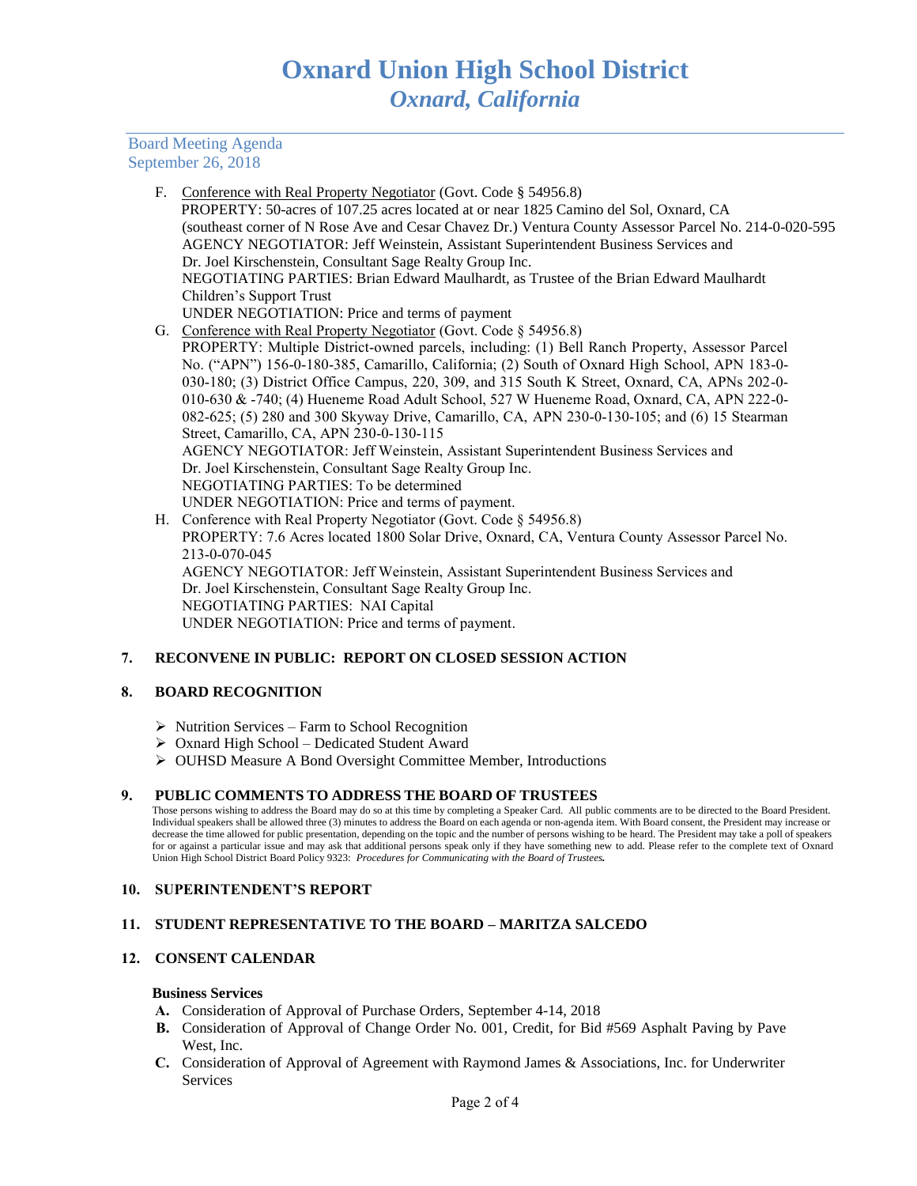Board Meeting Agenda September 26, 2018

> F. Conference with Real Property Negotiator (Govt. Code § 54956.8) PROPERTY: 50-acres of 107.25 acres located at or near 1825 Camino del Sol, Oxnard, CA (southeast corner of N Rose Ave and Cesar Chavez Dr.) Ventura County Assessor Parcel No. 214-0-020-595 AGENCY NEGOTIATOR: Jeff Weinstein, Assistant Superintendent Business Services and Dr. Joel Kirschenstein, Consultant Sage Realty Group Inc. NEGOTIATING PARTIES: Brian Edward Maulhardt, as Trustee of the Brian Edward Maulhardt Children's Support Trust UNDER NEGOTIATION: Price and terms of payment G. Conference with Real Property Negotiator (Govt. Code § 54956.8) PROPERTY: Multiple District-owned parcels, including: (1) Bell Ranch Property, Assessor Parcel No. ("APN") 156-0-180-385, Camarillo, California; (2) South of Oxnard High School, APN 183-0- 030-180; (3) District Office Campus, 220, 309, and 315 South K Street, Oxnard, CA, APNs 202-0- 010-630 & -740; (4) Hueneme Road Adult School, 527 W Hueneme Road, Oxnard, CA, APN 222-0- 082-625; (5) 280 and 300 Skyway Drive, Camarillo, CA, APN 230-0-130-105; and (6) 15 Stearman Street, Camarillo, CA, APN 230-0-130-115 AGENCY NEGOTIATOR: Jeff Weinstein, Assistant Superintendent Business Services and Dr. Joel Kirschenstein, Consultant Sage Realty Group Inc. NEGOTIATING PARTIES: To be determined UNDER NEGOTIATION: Price and terms of payment. H. Conference with Real Property Negotiator (Govt. Code § 54956.8) PROPERTY: 7.6 Acres located 1800 Solar Drive, Oxnard, CA, Ventura County Assessor Parcel No. 213-0-070-045 AGENCY NEGOTIATOR: Jeff Weinstein, Assistant Superintendent Business Services and Dr. Joel Kirschenstein, Consultant Sage Realty Group Inc.

NEGOTIATING PARTIES: NAI Capital

UNDER NEGOTIATION: Price and terms of payment.

# **7. RECONVENE IN PUBLIC: REPORT ON CLOSED SESSION ACTION**

# **8. BOARD RECOGNITION**

- ➢ Nutrition Services Farm to School Recognition
- ➢ Oxnard High School Dedicated Student Award
- ➢ OUHSD Measure A Bond Oversight Committee Member, Introductions

#### **9. PUBLIC COMMENTS TO ADDRESS THE BOARD OF TRUSTEES**

Those persons wishing to address the Board may do so at this time by completing a Speaker Card. All public comments are to be directed to the Board President. Individual speakers shall be allowed three (3) minutes to address the Board on each agenda or non-agenda item. With Board consent, the President may increase or decrease the time allowed for public presentation, depending on the topic and the number of persons wishing to be heard. The President may take a poll of speakers for or against a particular issue and may ask that additional persons speak only if they have something new to add. Please refer to the complete text of Oxnard Union High School District Board Policy 9323: *Procedures for Communicating with the Board of Trustees.* 

#### **10. SUPERINTENDENT'S REPORT**

#### **11. STUDENT REPRESENTATIVE TO THE BOARD – MARITZA SALCEDO**

### **12. CONSENT CALENDAR**

#### **Business Services**

- **A.** Consideration of Approval of Purchase Orders, September 4-14, 2018
- **B.** Consideration of Approval of Change Order No. 001, Credit, for Bid #569 Asphalt Paving by Pave West, Inc.
- **C.** Consideration of Approval of Agreement with Raymond James & Associations, Inc. for Underwriter Services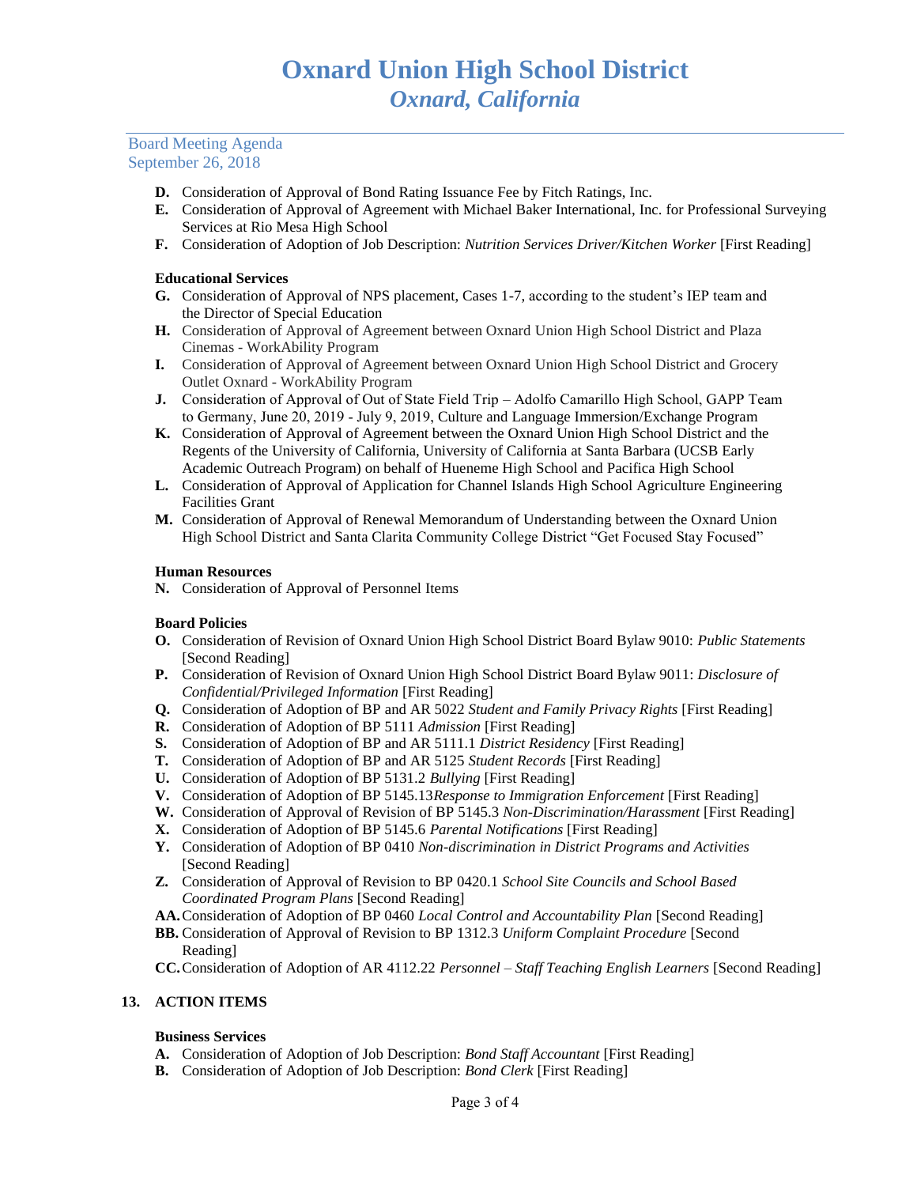### Board Meeting Agenda September 26, 2018

- **D.** Consideration of Approval of Bond Rating Issuance Fee by Fitch Ratings, Inc.
- **E.** Consideration of Approval of Agreement with Michael Baker International, Inc. for Professional Surveying Services at Rio Mesa High School
- **F.** Consideration of Adoption of Job Description: *Nutrition Services Driver/Kitchen Worker* [First Reading]

#### **Educational Services**

- **G.** Consideration of Approval of NPS placement, Cases 1-7, according to the student's IEP team and the Director of Special Education
- **H.** Consideration of Approval of Agreement between Oxnard Union High School District and Plaza Cinemas - WorkAbility Program
- **I.** Consideration of Approval of Agreement between Oxnard Union High School District and Grocery Outlet Oxnard - WorkAbility Program
- **J.** Consideration of Approval of Out of State Field Trip Adolfo Camarillo High School, GAPP Team to Germany, June 20, 2019 - July 9, 2019, Culture and Language Immersion/Exchange Program
- **K.** Consideration of Approval of Agreement between the Oxnard Union High School District and the Regents of the University of California, University of California at Santa Barbara (UCSB Early Academic Outreach Program) on behalf of Hueneme High School and Pacifica High School
- **L.** Consideration of Approval of Application for Channel Islands High School Agriculture Engineering Facilities Grant
- **M.** Consideration of Approval of Renewal Memorandum of Understanding between the Oxnard Union High School District and Santa Clarita Community College District "Get Focused Stay Focused"

#### **Human Resources**

**N.** Consideration of Approval of Personnel Items

#### **Board Policies**

- **O.** Consideration of Revision of Oxnard Union High School District Board Bylaw 9010: *Public Statements* [Second Reading]
- **P.** Consideration of Revision of Oxnard Union High School District Board Bylaw 9011: *Disclosure of Confidential/Privileged Information* [First Reading]
- **Q.** Consideration of Adoption of BP and AR 5022 *Student and Family Privacy Rights* [First Reading]
- **R.** Consideration of Adoption of BP 5111 *Admission* [First Reading]
- **S.** Consideration of Adoption of BP and AR 5111.1 *District Residency* [First Reading]
- **T.** Consideration of Adoption of BP and AR 5125 *Student Records* [First Reading]
- **U.** Consideration of Adoption of BP 5131.2 *Bullying* [First Reading]
- **V.** Consideration of Adoption of BP 5145.13*Response to Immigration Enforcement* [First Reading]
- **W.** Consideration of Approval of Revision of BP 5145.3 *Non-Discrimination/Harassment* [First Reading]
- **X.** Consideration of Adoption of BP 5145.6 *Parental Notifications* [First Reading]
- **Y.** Consideration of Adoption of BP 0410 *Non-discrimination in District Programs and Activities* [Second Reading]
- **Z.** Consideration of Approval of Revision to BP 0420.1 *School Site Councils and School Based Coordinated Program Plans* [Second Reading]
- **AA.**Consideration of Adoption of BP 0460 *Local Control and Accountability Plan* [Second Reading]
- **BB.** Consideration of Approval of Revision to BP 1312.3 *Uniform Complaint Procedure* [Second Reading]
- **CC.**Consideration of Adoption of AR 4112.22 *Personnel – Staff Teaching English Learners* [Second Reading]

#### **13. ACTION ITEMS**

#### **Business Services**

- **A.** Consideration of Adoption of Job Description: *Bond Staff Accountant* [First Reading]
- **B.** Consideration of Adoption of Job Description: *Bond Clerk* [First Reading]